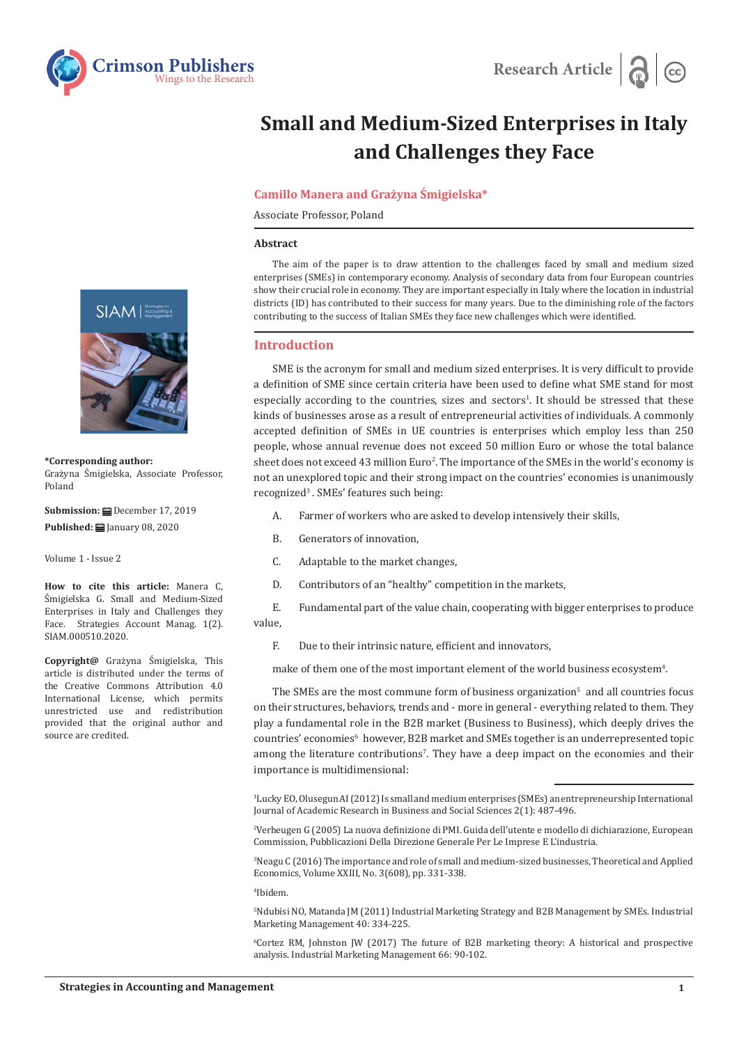



# **Small and Medium-Sized Enterprises in Italy and Challenges they Face**

## **Camillo Manera and Grażyna Śmigielska\***

Associate Professor, Poland

#### **Abstract**

The aim of the paper is to draw attention to the challenges faced by small and medium sized enterprises (SMEs) in contemporary economy. Analysis of secondary data from four European countries show their crucial role in economy. They are important especially in Italy where the location in industrial districts (ID) has contributed to their success for many years. Due to the diminishing role of the factors contributing to the success of Italian SMEs they face new challenges which were identified.

# **Introduction**

SME is the acronym for small and medium sized enterprises. It is very difficult to provide a definition of SME since certain criteria have been used to define what SME stand for most especially according to the countries, sizes and sectors<sup>1</sup>. It should be stressed that these kinds of businesses arose as a result of entrepreneurial activities of individuals. A commonly accepted definition of SMEs in UE countries is enterprises which employ less than 250 people, whose annual revenue does not exceed 50 million Euro or whose the total balance sheet does not exceed 43 million  $Euro^2$ . The importance of the SMEs in the world's economy is not an unexplored topic and their strong impact on the countries' economies is unanimously recognized<sup>3</sup>. SMEs' features such being:

- A. Farmer of workers who are asked to develop intensively their skills,
- B. Generators of innovation,
- C. Adaptable to the market changes,
- D. Contributors of an "healthy" competition in the markets,

E. Fundamental part of the value chain, cooperating with bigger enterprises to produce value,

F. Due to their intrinsic nature, efficient and innovators,

make of them one of the most important element of the world business ecosystem $^{\textrm{\tiny{4}}}$ .

The SMEs are the most commune form of business organization<sup>5</sup> and all countries focus on their structures, behaviors, trends and - more in general - everything related to them. They play a fundamental role in the B2B market (Business to Business), which deeply drives the countries' economies<sup>6</sup> however, B2B market and SMEs together is an underrepresented topic among the literature contributions'. They have a deep impact on the economies and their importance is multidimensional:

1 Lucky EO, Olusegun AI (2012) Is small and medium enterprises (SMEs) an entrepreneurship International Journal of Academic Research in Business and Social Sciences 2(1): 487-496.

2 Verheugen G (2005) La nuova definizione di PMI. Guida dell'utente e modello di dichiarazione, European Commission, Pubblicazioni Della Direzione Generale Per Le Imprese E L'industria.

3 Neagu C (2016) The importance and role of small and medium-sized businesses, Theoretical and Applied Economics, Volume XXIII, No. 3(608), pp. 331-338.

4 Ibidem.

5 Ndubisi NO, Matanda JM (2011) Industrial Marketing Strategy and B2B Management by SMEs. Industrial Marketing Management 40: 334-225.

6 Cortez RM, Johnston JW (2017) The future of B2B marketing theory: A historical and prospective analysis. Industrial Marketing Management 66: 90-102.



**\*Corresponding author:** Grażyna Śmigielska, Associate Professor, Poland

**Submission:** December 17, 2019 Published: **iii** January 08, 2020

Volume 1 - Issue 2

**How to cite this article:** Manera C, Śmigielska G. Small and Medium-Sized Enterprises in Italy and Challenges they Face. Strategies Account Manag. 1(2). SIAM.000510.2020.

**Copyright@** Grażyna Śmigielska, This article is distributed under the terms of the Creative Commons Attribution 4.0 International License, which permits unrestricted use and redistribution provided that the original author and source are credited.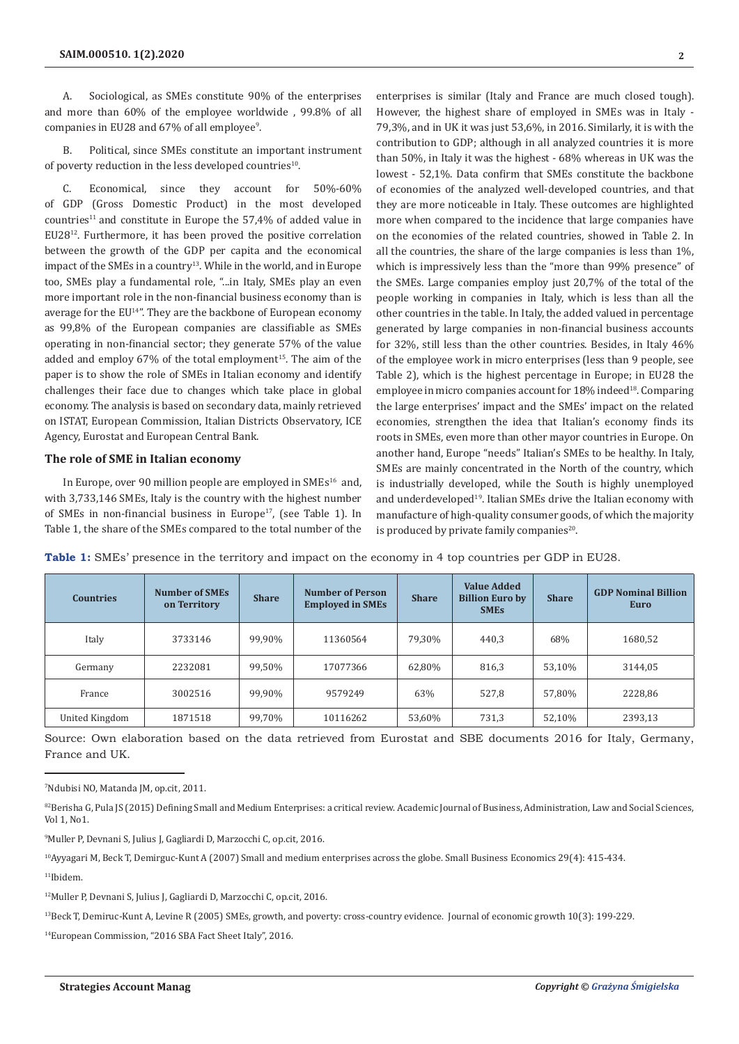A. Sociological, as SMEs constitute 90% of the enterprises and more than 60% of the employee worldwide , 99.8% of all companies in EU28 and 67% of all employee<sup>9</sup>.

B. Political, since SMEs constitute an important instrument of poverty reduction in the less developed countries<sup>10</sup>.

C. Economical, since they account for 50%-60% of GDP (Gross Domestic Product) in the most developed  $countries<sup>11</sup>$  and constitute in Europe the 57,4% of added value in EU2812. Furthermore, it has been proved the positive correlation between the growth of the GDP per capita and the economical impact of the SMEs in a country<sup>13</sup>. While in the world, and in Europe too, SMEs play a fundamental role, "...in Italy, SMEs play an even more important role in the non-financial business economy than is average for the EU<sup>14"</sup>. They are the backbone of European economy as 99,8% of the European companies are classifiable as SMEs operating in non-financial sector; they generate 57% of the value added and employ 67% of the total employment<sup>15</sup>. The aim of the paper is to show the role of SMEs in Italian economy and identify challenges their face due to changes which take place in global economy. The analysis is based on secondary data, mainly retrieved on ISTAT, European Commission, Italian Districts Observatory, ICE Agency, Eurostat and European Central Bank.

#### **The role of SME in Italian economy**

In Europe, over 90 million people are employed in SMEs<sup>16</sup> and, with 3,733,146 SMEs, Italy is the country with the highest number of SMEs in non-financial business in Europe<sup>17</sup>, (see Table 1). In Table 1, the share of the SMEs compared to the total number of the enterprises is similar (Italy and France are much closed tough). However, the highest share of employed in SMEs was in Italy - 79,3%, and in UK it was just 53,6%, in 2016. Similarly, it is with the contribution to GDP; although in all analyzed countries it is more than 50%, in Italy it was the highest - 68% whereas in UK was the lowest - 52,1%. Data confirm that SMEs constitute the backbone of economies of the analyzed well-developed countries, and that they are more noticeable in Italy. These outcomes are highlighted more when compared to the incidence that large companies have on the economies of the related countries, showed in Table 2. In all the countries, the share of the large companies is less than 1%, which is impressively less than the "more than 99% presence" of the SMEs. Large companies employ just 20,7% of the total of the people working in companies in Italy, which is less than all the other countries in the table. In Italy, the added valued in percentage generated by large companies in non-financial business accounts for 32%, still less than the other countries. Besides, in Italy 46% of the employee work in micro enterprises (less than 9 people, see Table 2), which is the highest percentage in Europe; in EU28 the employee in micro companies account for 18% indeed<sup>18</sup>. Comparing the large enterprises' impact and the SMEs' impact on the related economies, strengthen the idea that Italian's economy finds its roots in SMEs, even more than other mayor countries in Europe. On another hand, Europe "needs" Italian's SMEs to be healthy. In Italy, SMEs are mainly concentrated in the North of the country, which is industrially developed, while the South is highly unemployed and underdeveloped<sup>19</sup>. Italian SMEs drive the Italian economy with manufacture of high-quality consumer goods, of which the majority is produced by private family companies<sup>20</sup>.

| <b>Countries</b> | <b>Number of SMEs</b><br>on Territory | <b>Share</b> | <b>Number of Person</b><br><b>Employed in SMEs</b> | <b>Share</b> | <b>Value Added</b><br><b>Billion Euro by</b><br><b>SMES</b> | <b>Share</b> | <b>GDP Nominal Billion</b><br>Euro |
|------------------|---------------------------------------|--------------|----------------------------------------------------|--------------|-------------------------------------------------------------|--------------|------------------------------------|
| Italy            | 3733146                               | 99,90%       | 11360564                                           | 79,30%       | 440,3                                                       | 68%          | 1680,52                            |
| Germany          | 2232081                               | 99,50%       | 17077366                                           | 62,80%       | 816,3                                                       | 53,10%       | 3144,05                            |
| France           | 3002516                               | 99.90%       | 9579249                                            | 63%          | 527,8                                                       | 57.80%       | 2228.86                            |
| United Kingdom   | 1871518                               | 99,70%       | 10116262                                           | 53,60%       | 731,3                                                       | 52,10%       | 2393,13                            |

**Table 1:** SMEs' presence in the territory and impact on the economy in 4 top countries per GDP in EU28.

Source: Own elaboration based on the data retrieved from Eurostat and SBE documents 2016 for Italy, Germany, France and UK.

9 Muller P, Devnani S, Julius J, Gagliardi D, Marzocchi C, op.cit, 2016.

10Ayyagari M, Beck T, Demirguc-Kunt A (2007) Small and medium enterprises across the globe. Small Business Economics 29(4): 415-434.

<sup>11</sup>Ibidem.

13Beck T, Demiruc-Kunt A, Levine R (2005) SMEs, growth, and poverty: cross-country evidence. Journal of economic growth 10(3): 199-229.

14European Commission, "2016 SBA Fact Sheet Italy", 2016.

<sup>7</sup> Ndubisi NO, Matanda JM, op.cit, 2011.

<sup>82</sup>Berisha G, Pula JS (2015) Defining Small and Medium Enterprises: a critical review. Academic Journal of Business, Administration, Law and Social Sciences, Vol 1, No1.

<sup>12</sup>Muller P, Devnani S, Julius J, Gagliardi D, Marzocchi C, op.cit, 2016.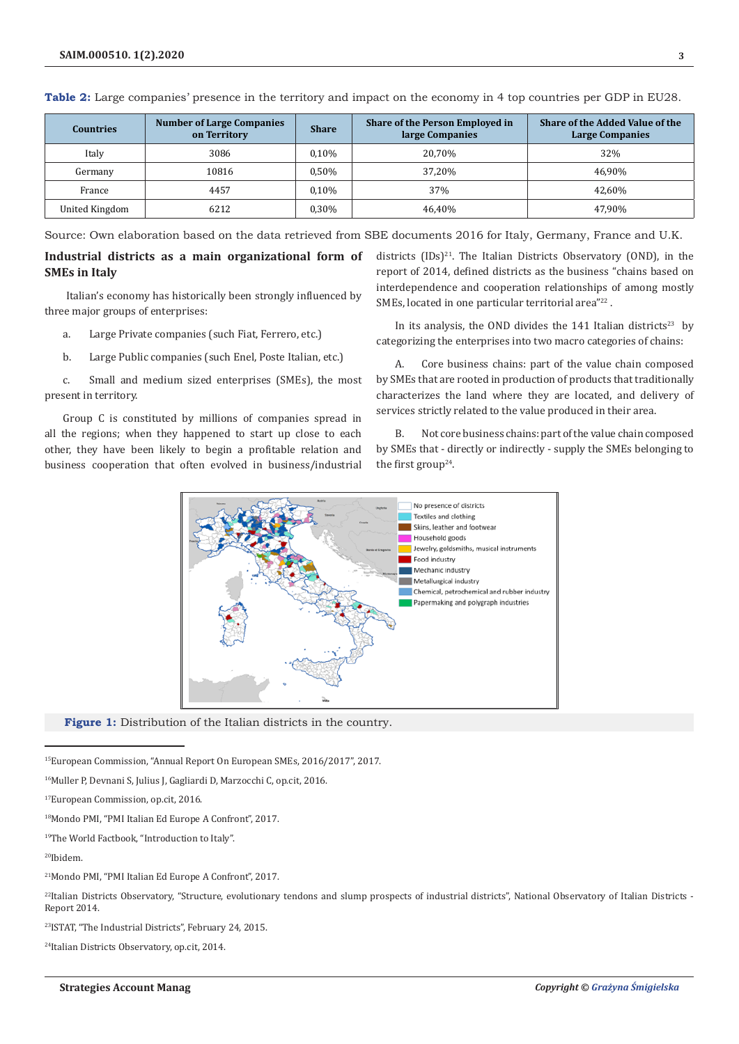| <b>Countries</b> | <b>Number of Large Companies</b><br>on Territory | <b>Share</b> | Share of the Person Employed in<br>large Companies | <b>Share of the Added Value of the</b><br><b>Large Companies</b> |  |
|------------------|--------------------------------------------------|--------------|----------------------------------------------------|------------------------------------------------------------------|--|
| Italy            | 3086                                             | $0.10\%$     | 20,70%                                             | 32%                                                              |  |
| Germany          | 10816                                            | 0,50%        | 37,20%                                             | 46.90%                                                           |  |
| France           | 4457                                             | $0.10\%$     | 37%                                                | 42.60%                                                           |  |
| United Kingdom   | 6212                                             | 0,30%        | 46.40%                                             | 47.90%                                                           |  |

**Table 2:** Large companies' presence in the territory and impact on the economy in 4 top countries per GDP in EU28.

Source: Own elaboration based on the data retrieved from SBE documents 2016 for Italy, Germany, France and U.K.

### **Industrial districts as a main organizational form of SMEs in Italy**

 Italian's economy has historically been strongly influenced by three major groups of enterprises:

- a. Large Private companies (such Fiat, Ferrero, etc.)
- b. Large Public companies (such Enel, Poste Italian, etc.)

c. Small and medium sized enterprises (SMEs), the most present in territory.

Group C is constituted by millions of companies spread in all the regions; when they happened to start up close to each other, they have been likely to begin a profitable relation and business cooperation that often evolved in business/industrial districts  $(IDs)^{21}$ . The Italian Districts Observatory (OND), in the report of 2014, defined districts as the business "chains based on interdependence and cooperation relationships of among mostly SMEs, located in one particular territorial area"<sup>22</sup>.

In its analysis, the OND divides the  $141$  Italian districts<sup>23</sup> by categorizing the enterprises into two macro categories of chains:

A. Core business chains: part of the value chain composed by SMEs that are rooted in production of products that traditionally characterizes the land where they are located, and delivery of services strictly related to the value produced in their area.

B. Not core business chains: part of the value chain composed by SMEs that - directly or indirectly - supply the SMEs belonging to the first group<sup>24</sup>.



**Figure 1:** Distribution of the Italian districts in the country.

15European Commission, "Annual Report On European SMEs, 2016/2017", 2017.

<sup>16</sup>Muller P, Devnani S, Julius J, Gagliardi D, Marzocchi C, op.cit, 2016.

19The World Factbook, "Introduction to Italy".

20Ibidem.

<sup>22</sup>Italian Districts Observatory, "Structure, evolutionary tendons and slump prospects of industrial districts", National Observatory of Italian Districts -Report 2014.

23ISTAT, "The Industrial Districts", February 24, 2015.

24Italian Districts Observatory, op.cit, 2014.

<sup>17</sup>European Commission, op.cit, 2016.

<sup>18</sup>Mondo PMI, "PMI Italian Ed Europe A Confront", 2017.

<sup>21</sup>Mondo PMI, "PMI Italian Ed Europe A Confront", 2017.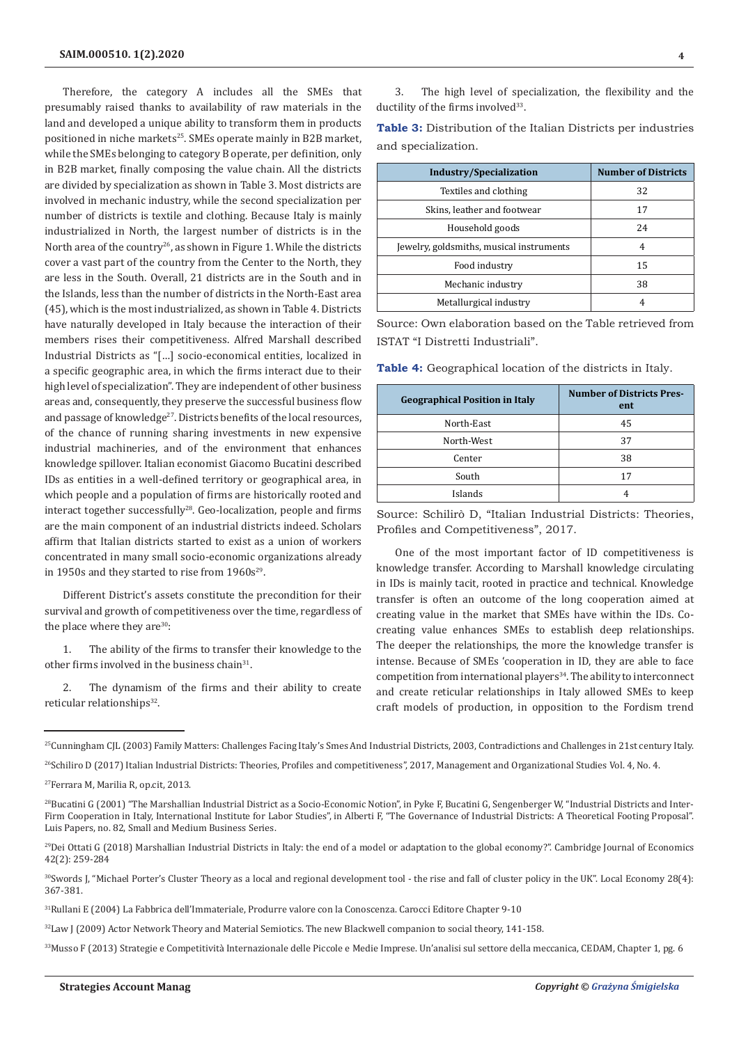Therefore, the category A includes all the SMEs that presumably raised thanks to availability of raw materials in the land and developed a unique ability to transform them in products positioned in niche markets<sup>25</sup>. SMEs operate mainly in B2B market, while the SMEs belonging to category B operate, per definition, only in B2B market, finally composing the value chain. All the districts are divided by specialization as shown in Table 3. Most districts are involved in mechanic industry, while the second specialization per number of districts is textile and clothing. Because Italy is mainly industrialized in North, the largest number of districts is in the North area of the country<sup>26</sup>, as shown in Figure 1. While the districts cover a vast part of the country from the Center to the North, they are less in the South. Overall, 21 districts are in the South and in the Islands, less than the number of districts in the North-East area (45), which is the most industrialized, as shown in Table 4. Districts have naturally developed in Italy because the interaction of their members rises their competitiveness. Alfred Marshall described Industrial Districts as "[…] socio-economical entities, localized in a specific geographic area, in which the firms interact due to their high level of specialization". They are independent of other business areas and, consequently, they preserve the successful business flow and passage of knowledge<sup>27</sup>. Districts benefits of the local resources, of the chance of running sharing investments in new expensive industrial machineries, and of the environment that enhances knowledge spillover. Italian economist Giacomo Bucatini described IDs as entities in a well-defined territory or geographical area, in which people and a population of firms are historically rooted and interact together successfully28. Geo-localization, people and firms are the main component of an industrial districts indeed. Scholars affirm that Italian districts started to exist as a union of workers concentrated in many small socio-economic organizations already in 1950s and they started to rise from  $1960s^{29}$ .

Different District's assets constitute the precondition for their survival and growth of competitiveness over the time, regardless of the place where they are $30$ :

1. The ability of the firms to transfer their knowledge to the other firms involved in the business chain<sup>31</sup>.

2. The dynamism of the firms and their ability to create reticular relationships<sup>32</sup>.

3. The high level of specialization, the flexibility and the ductility of the firms involved<sup>33</sup>.

**Table 3:** Distribution of the Italian Districts per industries and specialization.

| <b>Industry/Specialization</b>           | <b>Number of Districts</b> |
|------------------------------------------|----------------------------|
| Textiles and clothing                    | 32                         |
| Skins, leather and footwear              | 17                         |
| Household goods                          | 24                         |
| Jewelry, goldsmiths, musical instruments | 4                          |
| Food industry                            | 15                         |
| Mechanic industry                        | 38                         |
| Metallurgical industry                   | 4                          |

Source: Own elaboration based on the Table retrieved from ISTAT "I Distretti Industriali".

**Table 4:** Geographical location of the districts in Italy.

| <b>Geographical Position in Italy</b> | <b>Number of Districts Pres-</b><br>ent |
|---------------------------------------|-----------------------------------------|
| North-East                            | 45                                      |
| North-West                            | 37                                      |
| Center                                | 38                                      |
| South                                 | 17                                      |
| Islands                               |                                         |

Source: Schilirò D, "Italian Industrial Districts: Theories, Profiles and Competitiveness", 2017.

One of the most important factor of ID competitiveness is knowledge transfer. According to Marshall knowledge circulating in IDs is mainly tacit, rooted in practice and technical. Knowledge transfer is often an outcome of the long cooperation aimed at creating value in the market that SMEs have within the IDs. Cocreating value enhances SMEs to establish deep relationships. The deeper the relationships, the more the knowledge transfer is intense. Because of SMEs 'cooperation in ID, they are able to face competition from international players<sup>34</sup>. The ability to interconnect and create reticular relationships in Italy allowed SMEs to keep craft models of production, in opposition to the Fordism trend

<sup>&</sup>lt;sup>25</sup>Cunningham CJL (2003) Family Matters: Challenges Facing Italy's Smes And Industrial Districts, 2003, Contradictions and Challenges in 21st century Italy.

<sup>&</sup>lt;sup>26</sup>Schiliro D (2017) Italian Industrial Districts: Theories, Profiles and competitiveness", 2017, Management and Organizational Studies Vol. 4, No. 4.

<sup>27</sup>Ferrara M, Marilia R, op.cit, 2013.

 $^{28}$ Bucatini G (2001) "The Marshallian Industrial District as a Socio-Economic Notion", in Pyke F, Bucatini G, Sengenberger W, "Industrial Districts and Inter-Firm Cooperation in Italy, International Institute for Labor Studies", in Alberti F, "The Governance of Industrial Districts: A Theoretical Footing Proposal". Luis Papers, no. 82, Small and Medium Business Series.

<sup>&</sup>lt;sup>29</sup>Dei Ottati G (2018) Marshallian Industrial Districts in Italy: the end of a model or adaptation to the global economy?". Cambridge Journal of Economics 42(2): 259-284

<sup>&</sup>lt;sup>30</sup>Swords J, "Michael Porter's Cluster Theory as a local and regional development tool - the rise and fall of cluster policy in the UK". Local Economy 28(4): 367-381.

<sup>31</sup>Rullani E (2004) La Fabbrica dell'Immateriale, Produrre valore con la Conoscenza. Carocci Editore Chapter 9-10

<sup>&</sup>lt;sup>32</sup>Law J (2009) Actor Network Theory and Material Semiotics. The new Blackwell companion to social theory, 141-158.

<sup>33</sup>Musso F (2013) Strategie e Competitività Internazionale delle Piccole e Medie Imprese. Un'analisi sul settore della meccanica, CEDAM, Chapter 1, pg. 6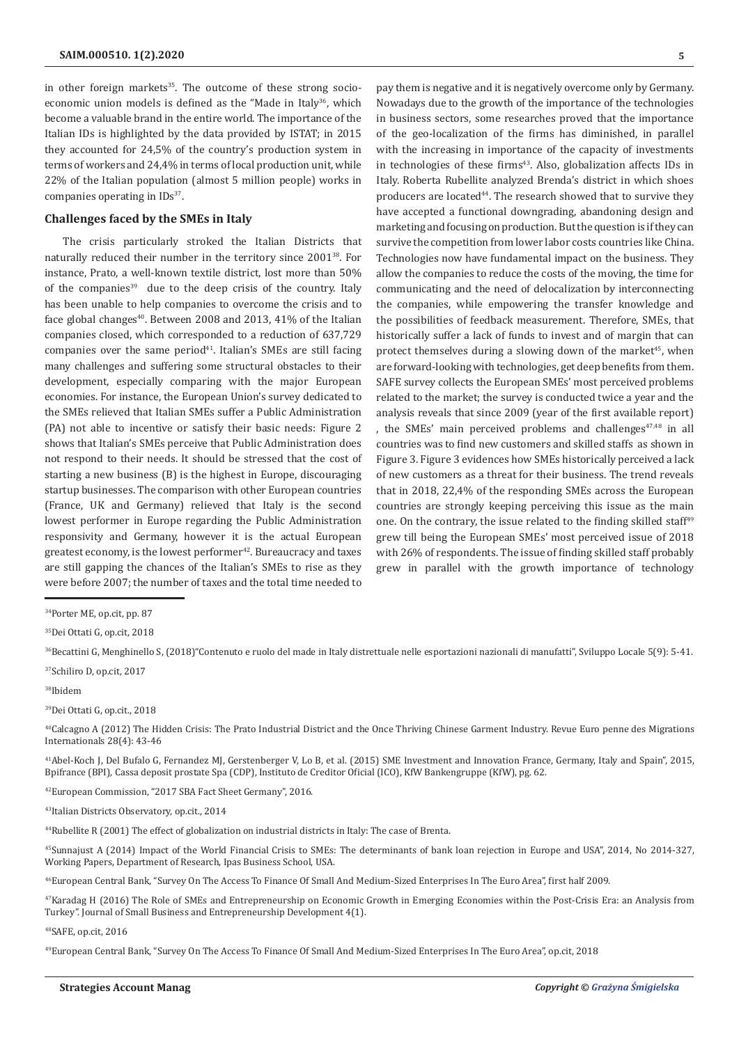in other foreign markets<sup>35</sup>. The outcome of these strong socioeconomic union models is defined as the "Made in Italy<sup>36</sup>, which become a valuable brand in the entire world. The importance of the Italian IDs is highlighted by the data provided by ISTAT; in 2015 they accounted for 24,5% of the country's production system in terms of workers and 24,4% in terms of local production unit, while 22% of the Italian population (almost 5 million people) works in companies operating in IDs<sup>37</sup>.

#### **Challenges faced by the SMEs in Italy**

The crisis particularly stroked the Italian Districts that naturally reduced their number in the territory since 200138. For instance, Prato, a well-known textile district, lost more than 50% of the companies $39$  due to the deep crisis of the country. Italy has been unable to help companies to overcome the crisis and to face global changes<sup>40</sup>. Between 2008 and 2013, 41% of the Italian companies closed, which corresponded to a reduction of 637,729 companies over the same period<sup>41</sup>. Italian's SMEs are still facing many challenges and suffering some structural obstacles to their development, especially comparing with the major European economies. For instance, the European Union's survey dedicated to the SMEs relieved that Italian SMEs suffer a Public Administration (PA) not able to incentive or satisfy their basic needs: Figure 2 shows that Italian's SMEs perceive that Public Administration does not respond to their needs. It should be stressed that the cost of starting a new business (B) is the highest in Europe, discouraging startup businesses. The comparison with other European countries (France, UK and Germany) relieved that Italy is the second lowest performer in Europe regarding the Public Administration responsivity and Germany, however it is the actual European greatest economy, is the lowest performer<sup>42</sup>. Bureaucracy and taxes are still gapping the chances of the Italian's SMEs to rise as they were before 2007; the number of taxes and the total time needed to

pay them is negative and it is negatively overcome only by Germany. Nowadays due to the growth of the importance of the technologies in business sectors, some researches proved that the importance of the geo-localization of the firms has diminished, in parallel with the increasing in importance of the capacity of investments in technologies of these firms<sup>43</sup>. Also, globalization affects IDs in Italy. Roberta Rubellite analyzed Brenda's district in which shoes producers are located<sup>44</sup>. The research showed that to survive they have accepted a functional downgrading, abandoning design and marketing and focusing on production. But the question is if they can survive the competition from lower labor costs countries like China. Technologies now have fundamental impact on the business. They allow the companies to reduce the costs of the moving, the time for communicating and the need of delocalization by interconnecting the companies, while empowering the transfer knowledge and the possibilities of feedback measurement. Therefore, SMEs, that historically suffer a lack of funds to invest and of margin that can protect themselves during a slowing down of the market<sup>45</sup>, when are forward-looking with technologies, get deep benefits from them. SAFE survey collects the European SMEs' most perceived problems related to the market; the survey is conducted twice a year and the analysis reveals that since 2009 (year of the first available report) , the SMEs' main perceived problems and challenges $47,48$  in all countries was to find new customers and skilled staffs as shown in Figure 3. Figure 3 evidences how SMEs historically perceived a lack of new customers as a threat for their business. The trend reveals that in 2018, 22,4% of the responding SMEs across the European countries are strongly keeping perceiving this issue as the main one. On the contrary, the issue related to the finding skilled staff<sup>49</sup> grew till being the European SMEs' most perceived issue of 2018 with 26% of respondents. The issue of finding skilled staff probably grew in parallel with the growth importance of technology

36Becattini G, Menghinello S, (2018)"Contenuto e ruolo del made in Italy distrettuale nelle esportazioni nazionali di manufatti", Sviluppo Locale 5(9): 5-41.

37Schiliro D, op.cit, 2017

38Ibidem

39Dei Ottati G, op.cit., 2018

40Calcagno A (2012) The Hidden Crisis: The Prato Industrial District and the Once Thriving Chinese Garment Industry. Revue Euro penne des Migrations Internationals 28(4): 43-46

41Abel-Koch J, Del Bufalo G, Fernandez MJ, Gerstenberger V, Lo B, et al. (2015) SME Investment and Innovation France, Germany, Italy and Spain", 2015, Bpifrance (BPI), Cassa deposit prostate Spa (CDP), Instituto de Creditor Oficial (ICO), KfW Bankengruppe (KfW), pg. 62.

42European Commission, "2017 SBA Fact Sheet Germany", 2016.

43Italian Districts Observatory, op.cit., 2014

44Rubellite R (2001) The effect of globalization on industrial districts in Italy: The case of Brenta.

45Sunnajust A (2014) Impact of the World Financial Crisis to SMEs: The determinants of bank loan rejection in Europe and USA", 2014, No 2014-327, Working Papers, Department of Research, Ipas Business School, USA.

46European Central Bank, "Survey On The Access To Finance Of Small And Medium-Sized Enterprises In The Euro Area", first half 2009.

47Karadag H (2016) The Role of SMEs and Entrepreneurship on Economic Growth in Emerging Economies within the Post-Crisis Era: an Analysis from Turkey". Journal of Small Business and Entrepreneurship Development 4(1).

48SAFE, op.cit, 2016

49European Central Bank, "Survey On The Access To Finance Of Small And Medium-Sized Enterprises In The Euro Area", op.cit, 2018

<sup>34</sup>Porter ME, op.cit, pp. 87

<sup>35</sup>Dei Ottati G, op.cit, 2018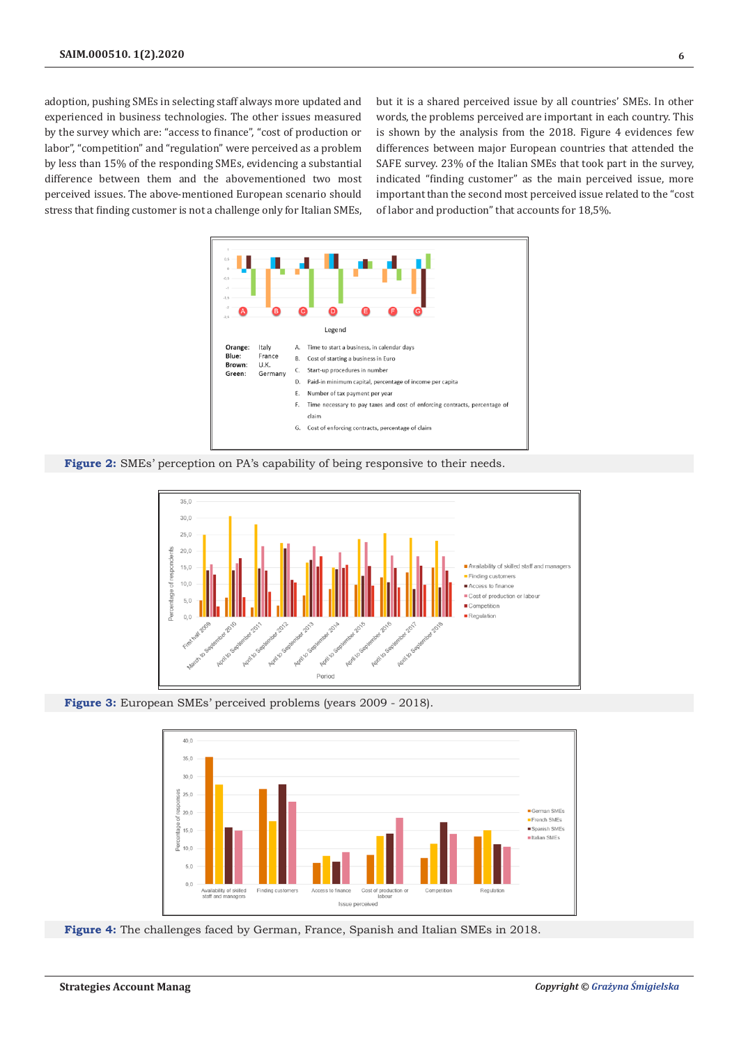adoption, pushing SMEs in selecting staff always more updated and experienced in business technologies. The other issues measured by the survey which are: "access to finance", "cost of production or labor", "competition" and "regulation" were perceived as a problem by less than 15% of the responding SMEs, evidencing a substantial difference between them and the abovementioned two most perceived issues. The above-mentioned European scenario should stress that finding customer is not a challenge only for Italian SMEs,

but it is a shared perceived issue by all countries' SMEs. In other words, the problems perceived are important in each country. This is shown by the analysis from the 2018. Figure 4 evidences few differences between major European countries that attended the SAFE survey. 23% of the Italian SMEs that took part in the survey, indicated "finding customer" as the main perceived issue, more important than the second most perceived issue related to the "cost of labor and production" that accounts for 18,5%.







**Figure 3:** European SMEs' perceived problems (years 2009 - 2018).



**Figure 4:** The challenges faced by German, France, Spanish and Italian SMEs in 2018.